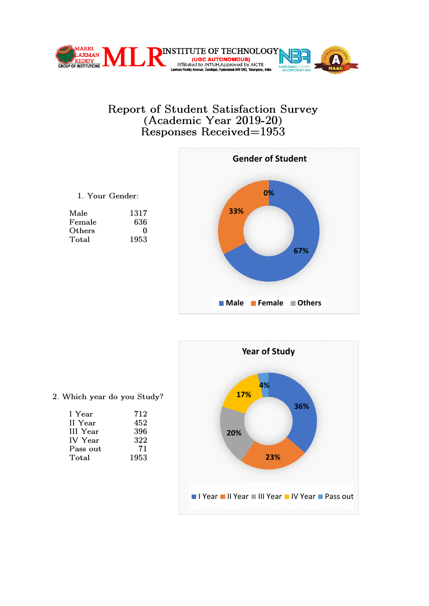



|  | 1. Your Gender: |
|--|-----------------|
|  |                 |

| Male   | 1317              |
|--------|-------------------|
| Female | 636               |
| Others | $\mathbf{\Omega}$ |
| Total  | 1953              |



2. Which year do you Study?

| I Year          | 712  |
|-----------------|------|
| II Year         | 452  |
| <b>III</b> Year | 396  |
| <b>IV</b> Year  | 322  |
| Pass out        | 71   |
| Total           | 1953 |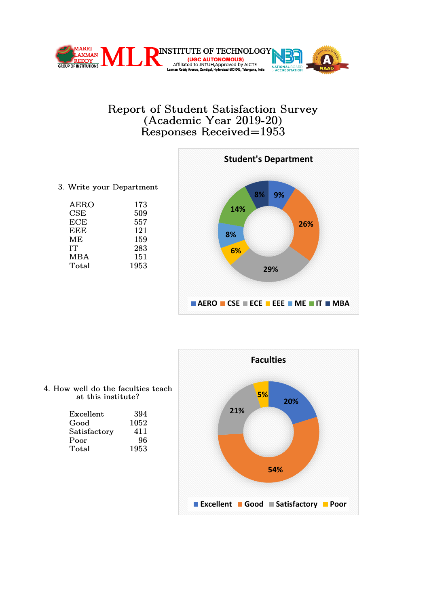



3. Write your Department

| AERO       | 173  |
|------------|------|
| CSE        | 509  |
| <b>ECE</b> | 557  |
| EEE        | 121  |
| MЕ         | 159  |
| IT         | 283  |
| <b>MBA</b> | 151  |
| Total      | 1953 |
|            |      |



4. How well do the faculties teach at this institute?

| Excellent    | 394  |
|--------------|------|
| Good         | 1052 |
| Satisfactory | 411  |
| Poor         | 96   |
| $\rm Total$  | 1953 |
|              |      |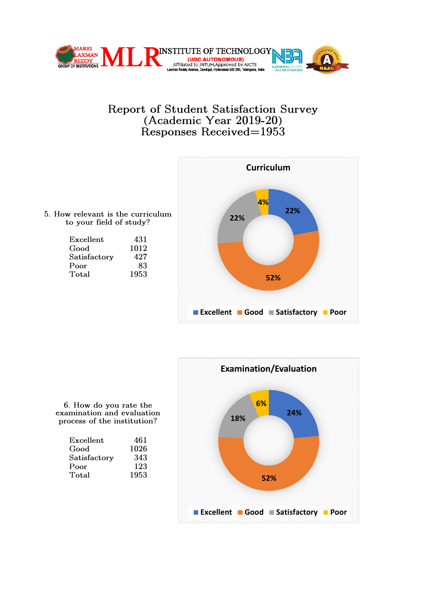



5. How relevant is the curriculum to your field of study?

| Excellent    | 431  |
|--------------|------|
| Good         | 1012 |
| Satisfactory | 427  |
| Poor         | 83   |
| Total        | 1953 |
|              |      |



6. How do you rate the examination and evaluation process of the institution?

| Excellent    | 461  |
|--------------|------|
| Good         | 1026 |
| Satisfactory | 343  |
| Poor         | 123  |
| Total        | 1953 |
|              |      |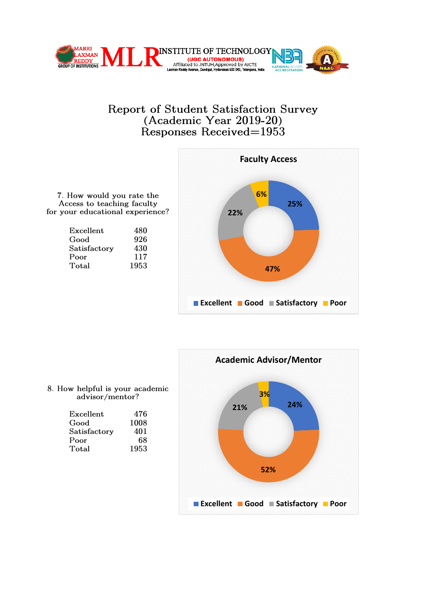



7. How would you rate the Access to teaching faculty for your educational experience?

| Excellent    | 480  |
|--------------|------|
| Good         | 926  |
| Satisfactory | 430  |
| Poor         | 117  |
| Total        | 1953 |



#### 8. How helpful is your academic advisor/mentor?

| Excellent    | 476  |
|--------------|------|
| Good         | 1008 |
| Satisfactory | 401  |
| Poor         | 68   |
| Total        | 1953 |
|              |      |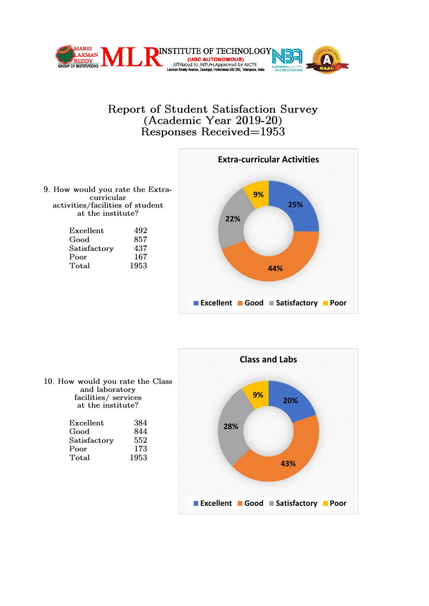



9. How would you rate the Extraactivities/facilities of student

| Excellent    | 492  |
|--------------|------|
| Good         | 857  |
| Satisfactory | 437  |
| Poor         | 167  |
| Total        | 1953 |
|              |      |



10. How would you rate the Class and laboratory facilities/ services at the institute?

| Excellent    | 384  |
|--------------|------|
| Good         | 844  |
| Satisfactory | 552  |
| Poor         | 173  |
| Total        | 1953 |
|              |      |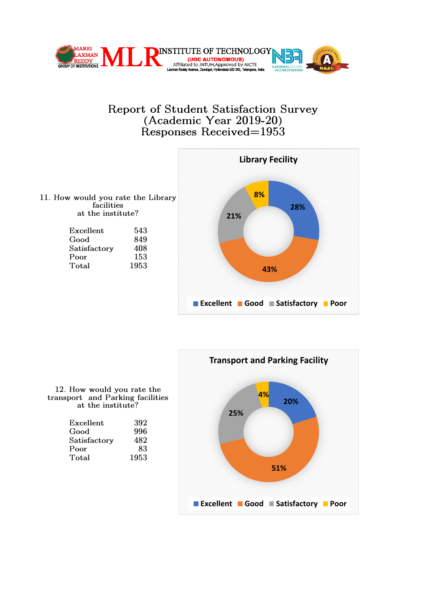





12. How would you rate the transport and Parking facilities at the institute?

| Excellent    | 392  |
|--------------|------|
| Good         | 996  |
| Satisfactory | 482  |
| Poor         | 83   |
| Total        | 1953 |
|              |      |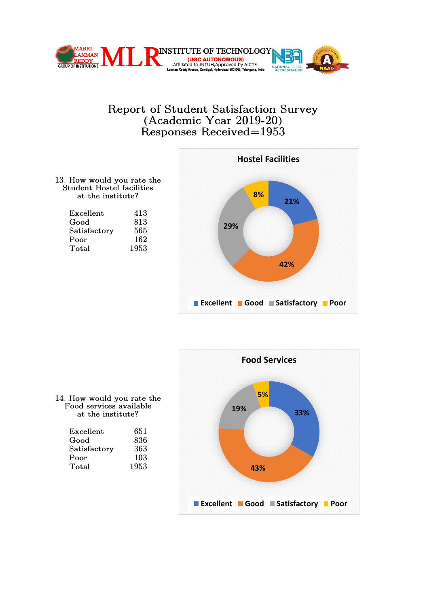



13. How would you rate the Student Hostel facilities at the institute?

| Excellent    | 413  |
|--------------|------|
| Good         | 813  |
| Satisfactory | 565  |
| Poor         | 162  |
| Total        | 1953 |
|              |      |



14. How would you rate the Food services available

| Excellent    | 651  |
|--------------|------|
| Good         | 836  |
| Satisfactory | 363  |
| Poor         | 103  |
| Total        | 1953 |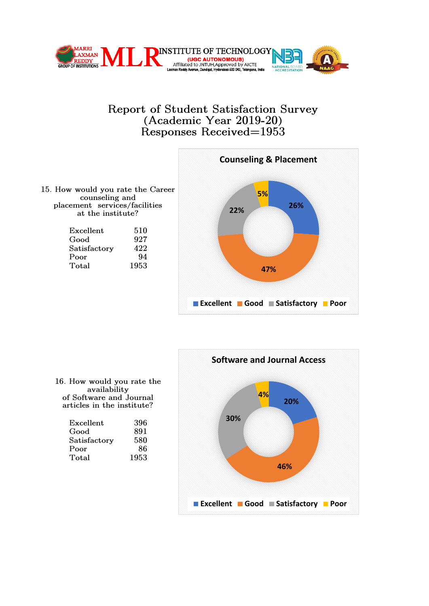





| Excellent    | 510  |
|--------------|------|
| Good         | 927  |
| Satisfactory | 422  |
| Poor         | 94   |
| Total        | 1953 |
|              |      |



16. How would you rate the availability of Software and Journal articles in the institute?

| Excellent    | 396  |
|--------------|------|
| Good         | 891  |
| Satisfactory | 580  |
| Poor         | 86   |
| Total        | 1953 |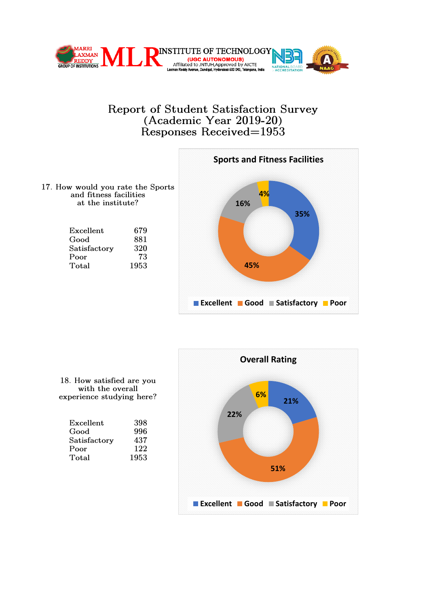



17. How would you rate the Sports and fitness facilities at the institute?

| Excellent    | 679  |
|--------------|------|
| Good         | 881  |
| Satisfactory | 320  |
| Poor         | 73   |
| Total        | 1953 |



18. How satisfied are you with the overall experience studying here?

| Excellent    | 398  |
|--------------|------|
| Good         | 996  |
| Satisfactory | 437  |
| Poor         | 122  |
| Total        | 1953 |
|              |      |